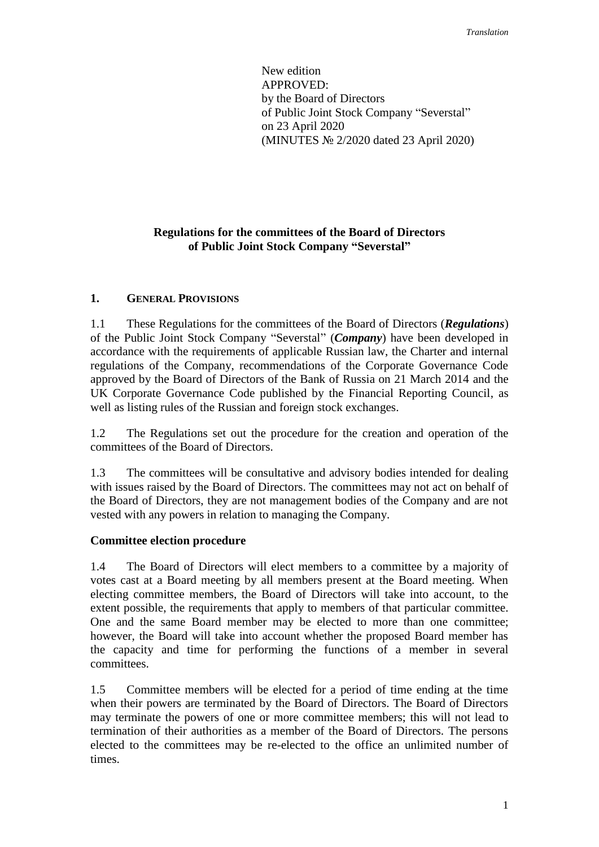New edition APPROVED: by the Board of Directors of Public Joint Stock Company "Severstal" on 23 April 2020 (MINUTES № 2/2020 dated 23 April 2020)

# **Regulations for the committees of the Board of Directors of Public Joint Stock Company "Severstal"**

### **1. GENERAL PROVISIONS**

1.1 These Regulations for the committees of the Board of Directors (*Regulations*) of the Public Joint Stock Company "Severstal" (*Company*) have been developed in accordance with the requirements of applicable Russian law, the Charter and internal regulations of the Company, recommendations of the Corporate Governance Code approved by the Board of Directors of the Bank of Russia on 21 March 2014 and the UK Corporate Governance Code published by the Financial Reporting Council, as well as listing rules of the Russian and foreign stock exchanges.

1.2 The Regulations set out the procedure for the creation and operation of the committees of the Board of Directors.

1.3 The committees will be consultative and advisory bodies intended for dealing with issues raised by the Board of Directors. The committees may not act on behalf of the Board of Directors, they are not management bodies of the Company and are not vested with any powers in relation to managing the Company.

### **Committee election procedure**

1.4 The Board of Directors will elect members to a committee by a majority of votes cast at a Board meeting by all members present at the Board meeting. When electing committee members, the Board of Directors will take into account, to the extent possible, the requirements that apply to members of that particular committee. One and the same Board member may be elected to more than one committee; however, the Board will take into account whether the proposed Board member has the capacity and time for performing the functions of a member in several committees.

1.5 Committee members will be elected for a period of time ending at the time when their powers are terminated by the Board of Directors. The Board of Directors may terminate the powers of one or more committee members; this will not lead to termination of their authorities as a member of the Board of Directors. The persons elected to the committees may be re-elected to the office an unlimited number of times.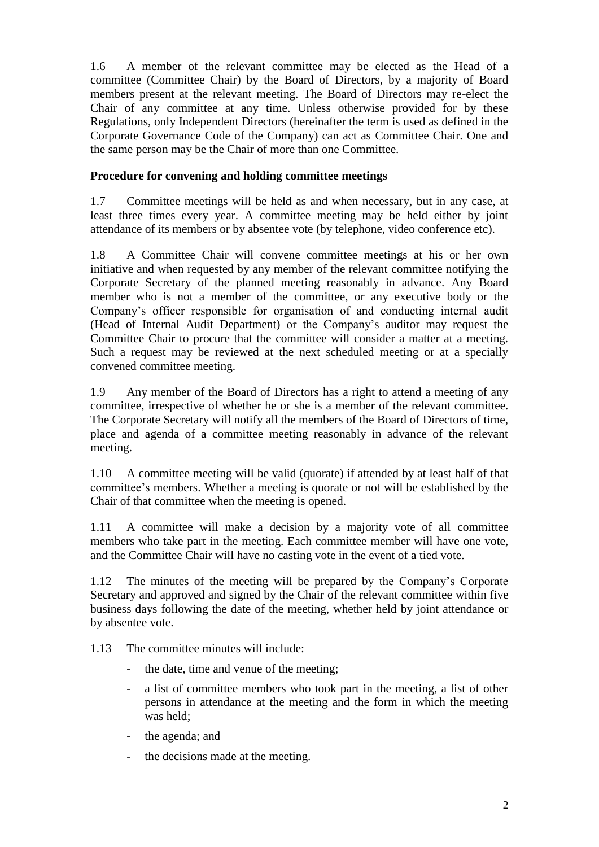1.6 A member of the relevant committee may be elected as the Head of a committee (Committee Chair) by the Board of Directors, by a majority of Board members present at the relevant meeting. The Board of Directors may re-elect the Chair of any committee at any time. Unless otherwise provided for by these Regulations, only Independent Directors (hereinafter the term is used as defined in the Corporate Governance Code of the Company) can act as Committee Chair. One and the same person may be the Chair of more than one Committee.

# **Procedure for convening and holding committee meetings**

1.7 Committee meetings will be held as and when necessary, but in any case, at least three times every year. A committee meeting may be held either by joint attendance of its members or by absentee vote (by telephone, video conference etc).

1.8 A Committee Chair will convene committee meetings at his or her own initiative and when requested by any member of the relevant committee notifying the Corporate Secretary of the planned meeting reasonably in advance. Any Board member who is not a member of the committee, or any executive body or the Company's officer responsible for organisation of and conducting internal audit (Head of Internal Audit Department) or the Company's auditor may request the Committee Chair to procure that the committee will consider a matter at a meeting. Such a request may be reviewed at the next scheduled meeting or at a specially convened committee meeting.

1.9 Any member of the Board of Directors has a right to attend a meeting of any committee, irrespective of whether he or she is a member of the relevant committee. The Corporate Secretary will notify all the members of the Board of Directors of time, place and agenda of a committee meeting reasonably in advance of the relevant meeting.

1.10 A committee meeting will be valid (quorate) if attended by at least half of that committee's members. Whether a meeting is quorate or not will be established by the Chair of that committee when the meeting is opened.

1.11 A committee will make a decision by a majority vote of all committee members who take part in the meeting. Each committee member will have one vote, and the Committee Chair will have no casting vote in the event of a tied vote.

1.12 The minutes of the meeting will be prepared by the Company's Corporate Secretary and approved and signed by the Chair of the relevant committee within five business days following the date of the meeting, whether held by joint attendance or by absentee vote.

1.13 The committee minutes will include:

- the date, time and venue of the meeting;
- a list of committee members who took part in the meeting, a list of other persons in attendance at the meeting and the form in which the meeting was held;
- the agenda; and
- the decisions made at the meeting.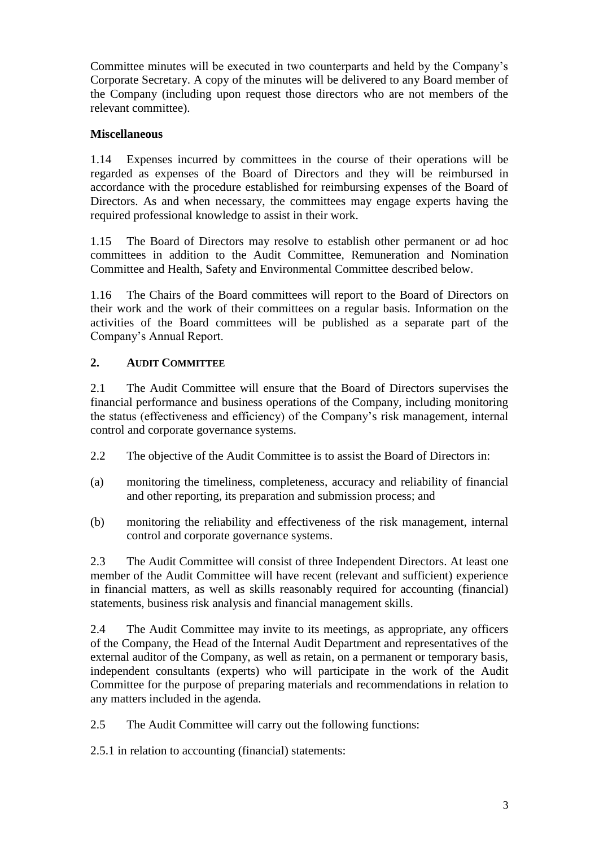Committee minutes will be executed in two counterparts and held by the Company's Corporate Secretary. A copy of the minutes will be delivered to any Board member of the Company (including upon request those directors who are not members of the relevant committee).

# **Miscellaneous**

1.14 Expenses incurred by committees in the course of their operations will be regarded as expenses of the Board of Directors and they will be reimbursed in accordance with the procedure established for reimbursing expenses of the Board of Directors. As and when necessary, the committees may engage experts having the required professional knowledge to assist in their work.

1.15 The Board of Directors may resolve to establish other permanent or ad hoc committees in addition to the Audit Committee, Remuneration and Nomination Committee and Health, Safety and Environmental Committee described below.

1.16 The Chairs of the Board committees will report to the Board of Directors on their work and the work of their committees on a regular basis. Information on the activities of the Board committees will be published as a separate part of the Company's Annual Report.

# **2. AUDIT COMMITTEE**

2.1 The Audit Committee will ensure that the Board of Directors supervises the financial performance and business operations of the Company, including monitoring the status (effectiveness and efficiency) of the Company's risk management, internal control and corporate governance systems.

- 2.2 The objective of the Audit Committee is to assist the Board of Directors in:
- (a) monitoring the timeliness, completeness, accuracy and reliability of financial and other reporting, its preparation and submission process; and
- (b) monitoring the reliability and effectiveness of the risk management, internal control and corporate governance systems.

2.3 The Audit Committee will consist of three Independent Directors. At least one member of the Audit Committee will have recent (relevant and sufficient) experience in financial matters, as well as skills reasonably required for accounting (financial) statements, business risk analysis and financial management skills.

2.4 The Audit Committee may invite to its meetings, as appropriate, any officers of the Company, the Head of the Internal Audit Department and representatives of the external auditor of the Company, as well as retain, on a permanent or temporary basis, independent consultants (experts) who will participate in the work of the Audit Committee for the purpose of preparing materials and recommendations in relation to any matters included in the agenda.

2.5 The Audit Committee will carry out the following functions:

2.5.1 in relation to accounting (financial) statements: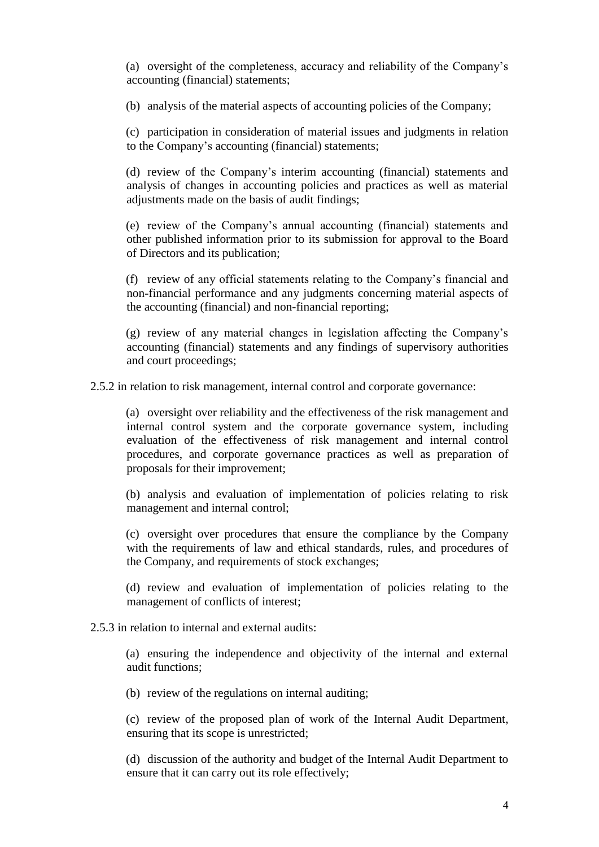(a) oversight of the completeness, accuracy and reliability of the Company's accounting (financial) statements;

(b) analysis of the material aspects of accounting policies of the Company;

(c) participation in consideration of material issues and judgments in relation to the Company's accounting (financial) statements;

(d) review of the Company's interim accounting (financial) statements and analysis of changes in accounting policies and practices as well as material adjustments made on the basis of audit findings;

(e) review of the Company's annual accounting (financial) statements and other published information prior to its submission for approval to the Board of Directors and its publication;

(f) review of any official statements relating to the Company's financial and non-financial performance and any judgments concerning material aspects of the accounting (financial) and non-financial reporting;

(g) review of any material changes in legislation affecting the Company's accounting (financial) statements and any findings of supervisory authorities and court proceedings;

2.5.2 in relation to risk management, internal control and corporate governance:

(a) oversight over reliability and the effectiveness of the risk management and internal control system and the corporate governance system, including evaluation of the effectiveness of risk management and internal control procedures, and corporate governance practices as well as preparation of proposals for their improvement;

(b) analysis and evaluation of implementation of policies relating to risk management and internal control;

(c) oversight over procedures that ensure the compliance by the Company with the requirements of law and ethical standards, rules, and procedures of the Company, and requirements of stock exchanges;

(d) review and evaluation of implementation of policies relating to the management of conflicts of interest;

### 2.5.3 in relation to internal and external audits:

(a) ensuring the independence and objectivity of the internal and external audit functions;

(b) review of the regulations on internal auditing;

(c) review of the proposed plan of work of the Internal Audit Department, ensuring that its scope is unrestricted;

(d) discussion of the authority and budget of the Internal Audit Department to ensure that it can carry out its role effectively;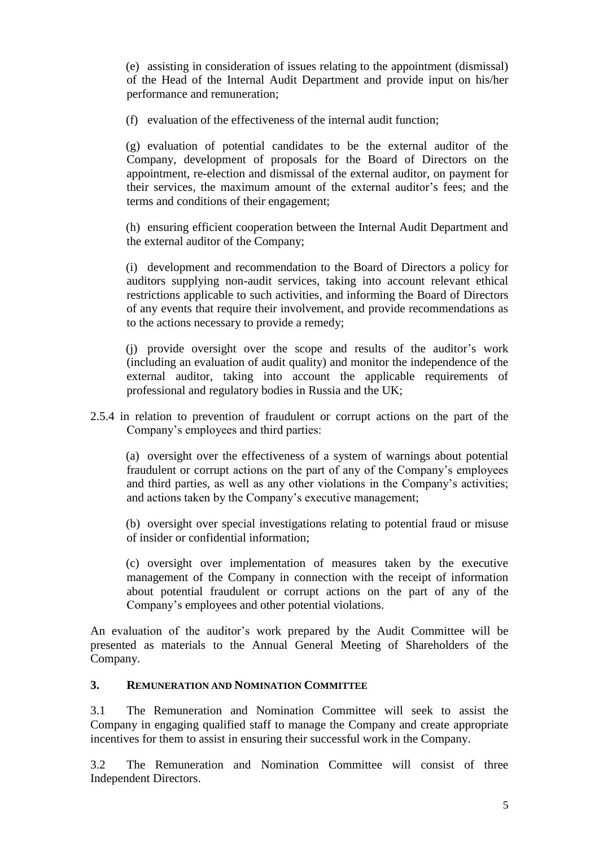(e) assisting in consideration of issues relating to the appointment (dismissal) of the Head of the Internal Audit Department and provide input on his/her performance and remuneration;

(f) evaluation of the effectiveness of the internal audit function;

(g) evaluation of potential candidates to be the external auditor of the Company, development of proposals for the Board of Directors on the appointment, re-election and dismissal of the external auditor, on payment for their services, the maximum amount of the external auditor's fees; and the terms and conditions of their engagement;

(h) ensuring efficient cooperation between the Internal Audit Department and the external auditor of the Company;

(i) development and recommendation to the Board of Directors a policy for auditors supplying non-audit services, taking into account relevant ethical restrictions applicable to such activities, and informing the Board of Directors of any events that require their involvement, and provide recommendations as to the actions necessary to provide a remedy;

(j) provide oversight over the scope and results of the auditor's work (including an evaluation of audit quality) and monitor the independence of the external auditor, taking into account the applicable requirements of professional and regulatory bodies in Russia and the UK;

2.5.4 in relation to prevention of fraudulent or corrupt actions on the part of the Company's employees and third parties:

(a) oversight over the effectiveness of a system of warnings about potential fraudulent or corrupt actions on the part of any of the Company's employees and third parties, as well as any other violations in the Company's activities; and actions taken by the Company's executive management;

(b) oversight over special investigations relating to potential fraud or misuse of insider or confidential information;

(c) oversight over implementation of measures taken by the executive management of the Company in connection with the receipt of information about potential fraudulent or corrupt actions on the part of any of the Company's employees and other potential violations.

An evaluation of the auditor's work prepared by the Audit Committee will be presented as materials to the Annual General Meeting of Shareholders of the Company.

## **3. REMUNERATION AND NOMINATION COMMITTEE**

3.1 The Remuneration and Nomination Committee will seek to assist the Company in engaging qualified staff to manage the Company and create appropriate incentives for them to assist in ensuring their successful work in the Company.

3.2 The Remuneration and Nomination Committee will consist of three Independent Directors.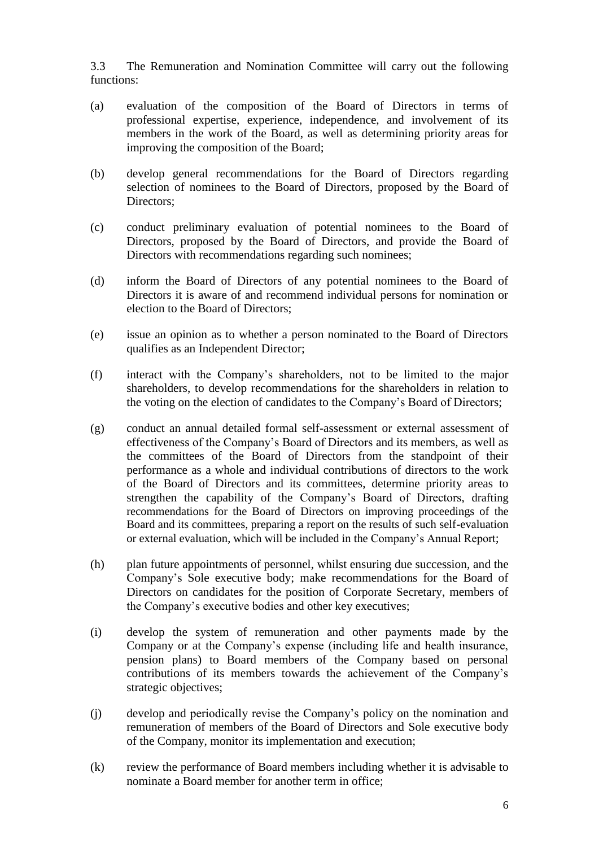3.3 The Remuneration and Nomination Committee will carry out the following functions:

- (a) evaluation of the composition of the Board of Directors in terms of professional expertise, experience, independence, and involvement of its members in the work of the Board, as well as determining priority areas for improving the composition of the Board;
- (b) develop general recommendations for the Board of Directors regarding selection of nominees to the Board of Directors, proposed by the Board of Directors;
- (c) conduct preliminary evaluation of potential nominees to the Board of Directors, proposed by the Board of Directors, and provide the Board of Directors with recommendations regarding such nominees;
- (d) inform the Board of Directors of any potential nominees to the Board of Directors it is aware of and recommend individual persons for nomination or election to the Board of Directors;
- (e) issue an opinion as to whether a person nominated to the Board of Directors qualifies as an Independent Director;
- (f) interact with the Company's shareholders, not to be limited to the major shareholders, to develop recommendations for the shareholders in relation to the voting on the election of candidates to the Company's Board of Directors;
- (g) conduct an annual detailed formal self-assessment or external assessment of effectiveness of the Company's Board of Directors and its members, as well as the committees of the Board of Directors from the standpoint of their performance as a whole and individual contributions of directors to the work of the Board of Directors and its committees, determine priority areas to strengthen the capability of the Company's Board of Directors, drafting recommendations for the Board of Directors on improving proceedings of the Board and its committees, preparing a report on the results of such self-evaluation or external evaluation, which will be included in the Company's Annual Report;
- (h) plan future appointments of personnel, whilst ensuring due succession, and the Company's Sole executive body; make recommendations for the Board of Directors on candidates for the position of Corporate Secretary, members of the Company's executive bodies and other key executives;
- (i) develop the system of remuneration and other payments made by the Company or at the Company's expense (including life and health insurance, pension plans) to Board members of the Company based on personal contributions of its members towards the achievement of the Company's strategic objectives;
- (j) develop and periodically revise the Company's policy on the nomination and remuneration of members of the Board of Directors and Sole executive body of the Company, monitor its implementation and execution;
- (k) review the performance of Board members including whether it is advisable to nominate a Board member for another term in office;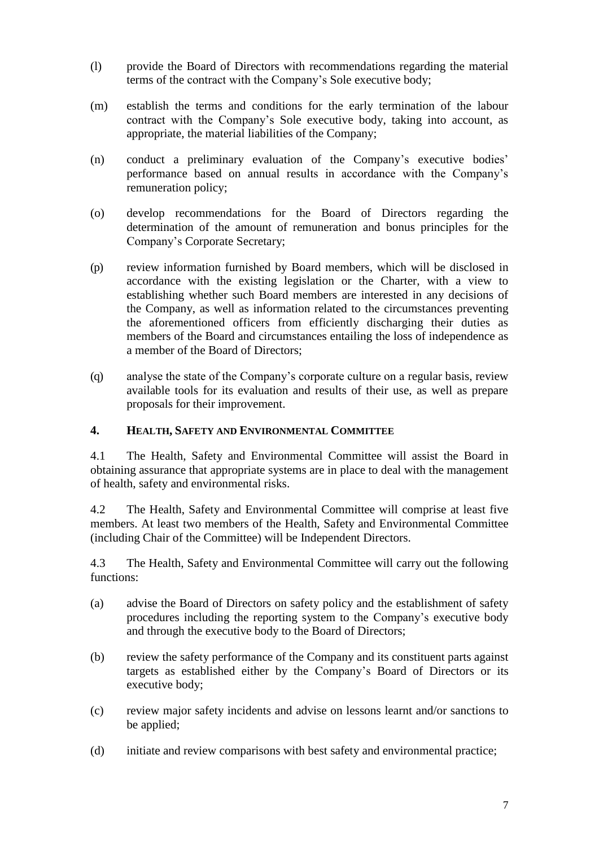- (l) provide the Board of Directors with recommendations regarding the material terms of the contract with the Company's Sole executive body;
- (m) establish the terms and conditions for the early termination of the labour contract with the Company's Sole executive body, taking into account, as appropriate, the material liabilities of the Company;
- (n) conduct a preliminary evaluation of the Company's executive bodies' performance based on annual results in accordance with the Company's remuneration policy;
- (o) develop recommendations for the Board of Directors regarding the determination of the amount of remuneration and bonus principles for the Company's Corporate Secretary;
- (p) review information furnished by Board members, which will be disclosed in accordance with the existing legislation or the Charter, with a view to establishing whether such Board members are interested in any decisions of the Company, as well as information related to the circumstances preventing the aforementioned officers from efficiently discharging their duties as members of the Board and circumstances entailing the loss of independence as a member of the Board of Directors;
- (q) analyse the state of the Company's corporate culture on a regular basis, review available tools for its evaluation and results of their use, as well as prepare proposals for their improvement.

## **4. HEALTH, SAFETY AND ENVIRONMENTAL COMMITTEE**

4.1 The Health, Safety and Environmental Committee will assist the Board in obtaining assurance that appropriate systems are in place to deal with the management of health, safety and environmental risks.

4.2 The Health, Safety and Environmental Committee will comprise at least five members. At least two members of the Health, Safety and Environmental Committee (including Chair of the Committee) will be Independent Directors.

4.3 The Health, Safety and Environmental Committee will carry out the following functions:

- (a) advise the Board of Directors on safety policy and the establishment of safety procedures including the reporting system to the Company's executive body and through the executive body to the Board of Directors;
- (b) review the safety performance of the Company and its constituent parts against targets as established either by the Company's Board of Directors or its executive body;
- (c) review major safety incidents and advise on lessons learnt and/or sanctions to be applied;
- (d) initiate and review comparisons with best safety and environmental practice;